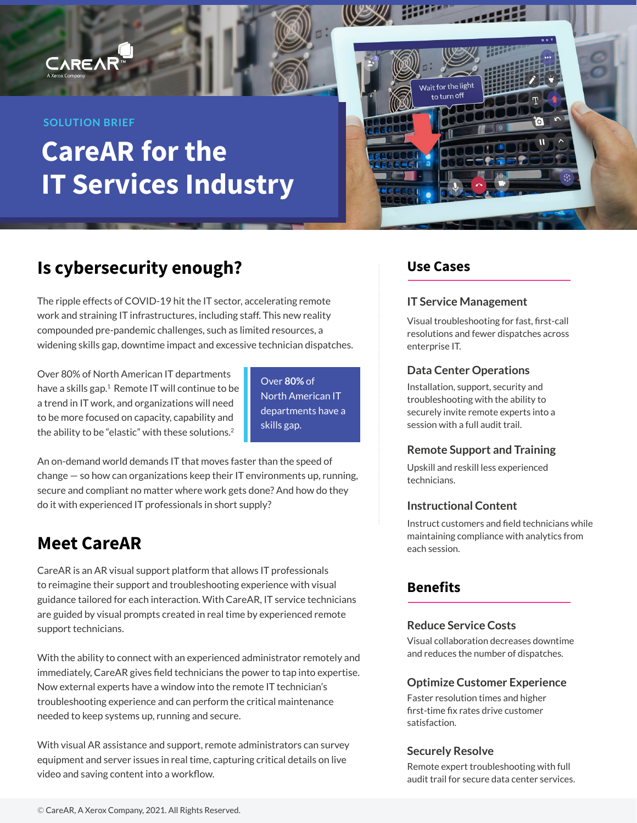# **CAREA**

#### **SOLUTION BRIEF**

# **CareAR for the IT Services Industry**



# **Is cybersecurity enough?**

The ripple effects of COVID-19 hit the IT sector, accelerating remote work and straining IT infrastructures, including staff. This new reality compounded pre-pandemic challenges, such as limited resources, a widening skills gap, downtime impact and excessive technician dispatches.

Over 80% of North American IT departments have a skills gap.<sup>1</sup> Remote IT will continue to be a trend in IT work, and organizations will need to be more focused on capacity, capability and the ability to be "elastic" with these solutions.<sup>2</sup>

Over **80%** of North American IT departments have a skills gap.

An on-demand world demands IT that moves faster than the speed of change — so how can organizations keep their IT environments up, running, secure and compliant no matter where work gets done? And how do they do it with experienced IT professionals in short supply?

### **Meet CareAR**

CareAR is an AR visual support platform that allows IT professionals to reimagine their support and troubleshooting experience with visual guidance tailored for each interaction. With CareAR, IT service technicians are guided by visual prompts created in real time by experienced remote support technicians.

With the ability to connect with an experienced administrator remotely and immediately, CareAR gives field technicians the power to tap into expertise. Now external experts have a window into the remote IT technician's troubleshooting experience and can perform the critical maintenance needed to keep systems up, running and secure.

With visual AR assistance and support, remote administrators can survey equipment and server issues in real time, capturing critical details on live video and saving content into a workflow.

### **Use Cases**

#### **IT Service Management**

Visual troubleshooting for fast, first-call resolutions and fewer dispatches across enterprise IT.

#### **Data Center Operations**

Installation, support, security and troubleshooting with the ability to securely invite remote experts into a session with a full audit trail.

#### **Remote Support and Training**

Upskill and reskill less experienced technicians.

#### **Instructional Content**

Instruct customers and field technicians while maintaining compliance with analytics from each session.

### **Benefits**

#### **Reduce Service Costs**

Visual collaboration decreases downtime and reduces the number of dispatches.

#### **Optimize Customer Experience**

Faster resolution times and higher first-time fix rates drive customer satisfaction.

#### **Securely Resolve**

Remote expert troubleshooting with full audit trail for secure data center services.